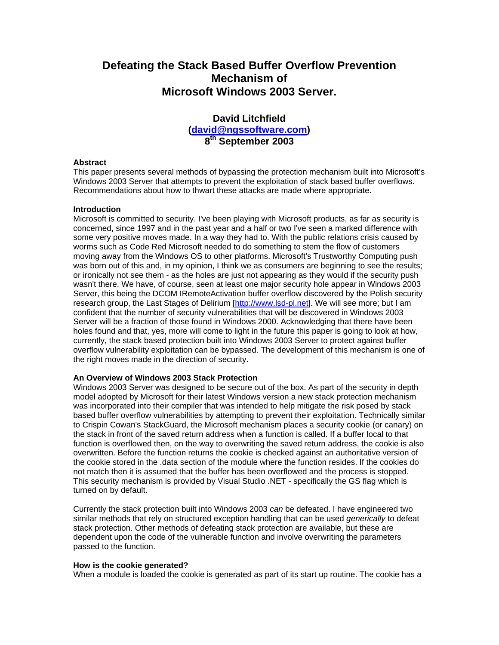# **Defeating the Stack Based Buffer Overflow Prevention Mechanism of Microsoft Windows 2003 Server.**

# **David Litchfield [\(david@ngssoftware.com\)](mailto:david@ngssoftware.com) 8th September 2003**

#### **Abstract**

This paper presents several methods of bypassing the protection mechanism built into Microsoft's Windows 2003 Server that attempts to prevent the exploitation of stack based buffer overflows. Recommendations about how to thwart these attacks are made where appropriate.

#### **Introduction**

Microsoft is committed to security. I've been playing with Microsoft products, as far as security is concerned, since 1997 and in the past year and a half or two I've seen a marked difference with some very positive moves made. In a way they had to. With the public relations crisis caused by worms such as Code Red Microsoft needed to do something to stem the flow of customers moving away from the Windows OS to other platforms. Microsoft's Trustworthy Computing push was born out of this and, in my opinion, I think we as consumers are beginning to see the results; or ironically not see them - as the holes are just not appearing as they would if the security push wasn't there. We have, of course, seen at least one major security hole appear in Windows 2003 Server, this being the DCOM IRemoteActivation buffer overflow discovered by the Polish security research group, the Last Stages of Delirium [\[http://www.lsd-pl.net\]](http://www.lsd-pl.net/). We will see more; but I am confident that the number of security vulnerabilities that will be discovered in Windows 2003 Server will be a fraction of those found in Windows 2000. Acknowledging that there have been holes found and that, yes, more will come to light in the future this paper is going to look at how, currently, the stack based protection built into Windows 2003 Server to protect against buffer overflow vulnerability exploitation can be bypassed. The development of this mechanism is one of the right moves made in the direction of security.

# **An Overview of Windows 2003 Stack Protection**

Windows 2003 Server was designed to be secure out of the box. As part of the security in depth model adopted by Microsoft for their latest Windows version a new stack protection mechanism was incorporated into their compiler that was intended to help mitigate the risk posed by stack based buffer overflow vulnerabilities by attempting to prevent their exploitation. Technically similar to Crispin Cowan's StackGuard, the Microsoft mechanism places a security cookie (or canary) on the stack in front of the saved return address when a function is called. If a buffer local to that function is overflowed then, on the way to overwriting the saved return address, the cookie is also overwritten. Before the function returns the cookie is checked against an authoritative version of the cookie stored in the .data section of the module where the function resides. If the cookies do not match then it is assumed that the buffer has been overflowed and the process is stopped. This security mechanism is provided by Visual Studio .NET - specifically the GS flag which is turned on by default.

Currently the stack protection built into Windows 2003 *can* be defeated. I have engineered two similar methods that rely on structured exception handling that can be used *generically* to defeat stack protection. Other methods of defeating stack protection are available, but these are dependent upon the code of the vulnerable function and involve overwriting the parameters passed to the function.

#### **How is the cookie generated?**

When a module is loaded the cookie is generated as part of its start up routine. The cookie has a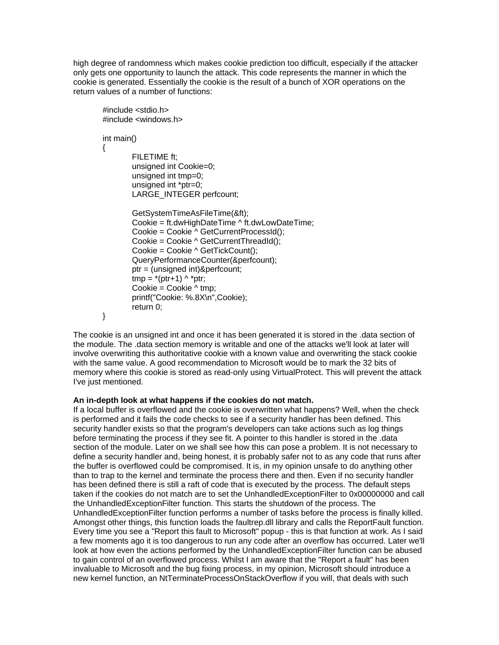high degree of randomness which makes cookie prediction too difficult, especially if the attacker only gets one opportunity to launch the attack. This code represents the manner in which the cookie is generated. Essentially the cookie is the result of a bunch of XOR operations on the return values of a number of functions:

```
#include <stdio.h> 
#include <windows.h> 
int main() 
{ 
         FILETIME ft; 
         unsigned int Cookie=0; 
         unsigned int tmp=0; 
         unsigned int *ptr=0; 
        LARGE_INTEGER perfcount;
         GetSystemTimeAsFileTime(&ft); 
         Cookie = ft.dwHighDateTime ^ ft.dwLowDateTime; 
         Cookie = Cookie ^ GetCurrentProcessId(); 
         Cookie = Cookie ^ GetCurrentThreadId(); 
         Cookie = Cookie ^ GetTickCount(); 
         QueryPerformanceCounter(&perfcount); 
         ptr = (unsigned int)&perfcount; 
        tmp = -(ptr+1) \wedge 'ptr;Cookie = Cookie \land tmp:
         printf("Cookie: %.8X\n",Cookie); 
         return 0; 
}
```
The cookie is an unsigned int and once it has been generated it is stored in the .data section of the module. The .data section memory is writable and one of the attacks we'll look at later will involve overwriting this authoritative cookie with a known value and overwriting the stack cookie with the same value. A good recommendation to Microsoft would be to mark the 32 bits of memory where this cookie is stored as read-only using VirtualProtect. This will prevent the attack I've just mentioned.

#### **An in-depth look at what happens if the cookies do not match.**

If a local buffer is overflowed and the cookie is overwritten what happens? Well, when the check is performed and it fails the code checks to see if a security handler has been defined. This security handler exists so that the program's developers can take actions such as log things before terminating the process if they see fit. A pointer to this handler is stored in the .data section of the module. Later on we shall see how this can pose a problem. It is not necessary to define a security handler and, being honest, it is probably safer not to as any code that runs after the buffer is overflowed could be compromised. It is, in my opinion unsafe to do anything other than to trap to the kernel and terminate the process there and then. Even if no security handler has been defined there is still a raft of code that is executed by the process. The default steps taken if the cookies do not match are to set the UnhandledExceptionFilter to 0x00000000 and call the UnhandledExceptionFilter function. This starts the shutdown of the process. The UnhandledExceptionFilter function performs a number of tasks before the process is finally killed. Amongst other things, this function loads the faultrep.dll library and calls the ReportFault function. Every time you see a "Report this fault to Microsoft" popup - this is that function at work. As I said a few moments ago it is too dangerous to run any code after an overflow has occurred. Later we'll look at how even the actions performed by the UnhandledExceptionFilter function can be abused to gain control of an overflowed process. Whilst I am aware that the "Report a fault" has been invaluable to Microsoft and the bug fixing process, in my opinion, Microsoft should introduce a new kernel function, an NtTerminateProcessOnStackOverflow if you will, that deals with such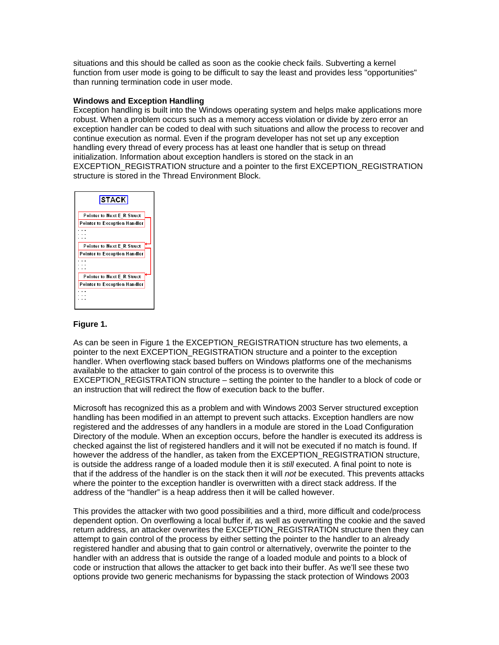situations and this should be called as soon as the cookie check fails. Subverting a kernel function from user mode is going to be difficult to say the least and provides less "opportunities" than running termination code in user mode.

### **Windows and Exception Handling**

Exception handling is built into the Windows operating system and helps make applications more robust. When a problem occurs such as a memory access violation or divide by zero error an exception handler can be coded to deal with such situations and allow the process to recover and continue execution as normal. Even if the program developer has not set up any exception handling every thread of every process has at least one handler that is setup on thread initialization. Information about exception handlers is stored on the stack in an EXCEPTION\_REGISTRATION structure and a pointer to the first EXCEPTION\_REGISTRATION structure is stored in the Thread Environment Block.



#### **Figure 1.**

As can be seen in Figure 1 the EXCEPTION\_REGISTRATION structure has two elements, a pointer to the next EXCEPTION\_REGISTRATION structure and a pointer to the exception handler. When overflowing stack based buffers on Windows platforms one of the mechanisms available to the attacker to gain control of the process is to overwrite this EXCEPTION\_REGISTRATION structure – setting the pointer to the handler to a block of code or an instruction that will redirect the flow of execution back to the buffer.

Microsoft has recognized this as a problem and with Windows 2003 Server structured exception handling has been modified in an attempt to prevent such attacks. Exception handlers are now registered and the addresses of any handlers in a module are stored in the Load Configuration Directory of the module. When an exception occurs, before the handler is executed its address is checked against the list of registered handlers and it will not be executed if no match is found. If however the address of the handler, as taken from the EXCEPTION\_REGISTRATION structure, is outside the address range of a loaded module then it is *still* executed. A final point to note is that if the address of the handler is on the stack then it will *not* be executed. This prevents attacks where the pointer to the exception handler is overwritten with a direct stack address. If the address of the "handler" is a heap address then it will be called however.

This provides the attacker with two good possibilities and a third, more difficult and code/process dependent option. On overflowing a local buffer if, as well as overwriting the cookie and the saved return address, an attacker overwrites the EXCEPTION\_REGISTRATION structure then they can attempt to gain control of the process by either setting the pointer to the handler to an already registered handler and abusing that to gain control or alternatively, overwrite the pointer to the handler with an address that is outside the range of a loaded module and points to a block of code or instruction that allows the attacker to get back into their buffer. As we'll see these two options provide two generic mechanisms for bypassing the stack protection of Windows 2003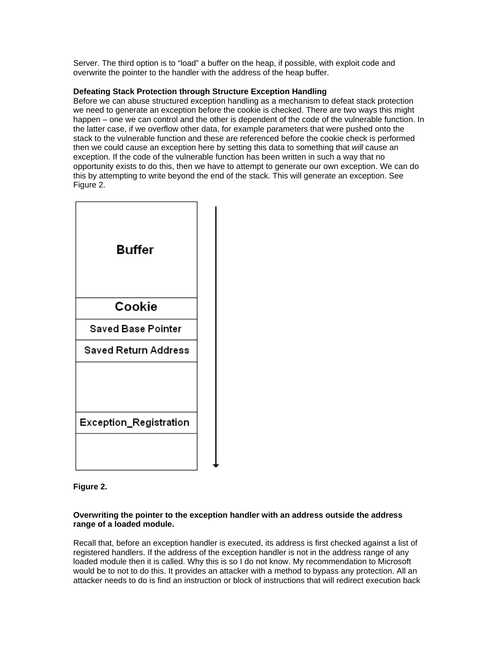Server. The third option is to "load" a buffer on the heap, if possible, with exploit code and overwrite the pointer to the handler with the address of the heap buffer.

# **Defeating Stack Protection through Structure Exception Handling**

Before we can abuse structured exception handling as a mechanism to defeat stack protection we need to generate an exception before the cookie is checked. There are two ways this might happen – one we can control and the other is dependent of the code of the vulnerable function. In the latter case, if we overflow other data, for example parameters that were pushed onto the stack to the vulnerable function and these are referenced before the cookie check is performed then we could cause an exception here by setting this data to something that *will* cause an exception. If the code of the vulnerable function has been written in such a way that no opportunity exists to do this, then we have to attempt to generate our own exception. We can do this by attempting to write beyond the end of the stack. This will generate an exception. See Figure 2.



**Figure 2.** 

## **Overwriting the pointer to the exception handler with an address outside the address range of a loaded module.**

Recall that, before an exception handler is executed, its address is first checked against a list of registered handlers. If the address of the exception handler is not in the address range of any loaded module then it is called. Why this is so I do not know. My recommendation to Microsoft would be to not to do this. It provides an attacker with a method to bypass any protection. All an attacker needs to do is find an instruction or block of instructions that will redirect execution back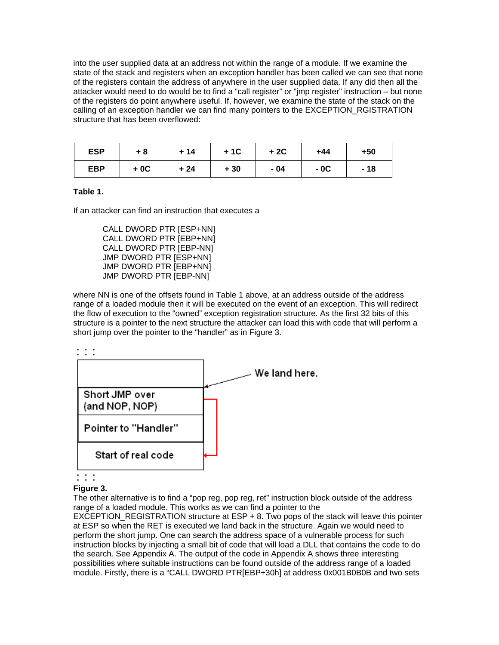into the user supplied data at an address not within the range of a module. If we examine the state of the stack and registers when an exception handler has been called we can see that none of the registers contain the address of anywhere in the user supplied data. If any did then all the attacker would need to do would be to find a "call register" or "jmp register" instruction – but none of the registers do point anywhere useful. If, however, we examine the state of the stack on the calling of an exception handler we can find many pointers to the EXCEPTION\_RGISTRATION structure that has been overflowed:

| <b>ESP</b> | $+8$  | $+14$ | $+1C$ | $+2C$ | +44   | $+50$ |
|------------|-------|-------|-------|-------|-------|-------|
| <b>EBP</b> | $+0C$ | $+24$ | $+30$ | $-04$ | $-0C$ | $-18$ |

## **Table 1.**

If an attacker can find an instruction that executes a

CALL DWORD PTR [ESP+NN] CALL DWORD PTR [EBP+NN] CALL DWORD PTR [EBP-NN] JMP DWORD PTR [ESP+NN] JMP DWORD PTR [EBP+NN] JMP DWORD PTR [EBP-NN]

where NN is one of the offsets found in Table 1 above, at an address outside of the address range of a loaded module then it will be executed on the event of an exception. This will redirect the flow of execution to the "owned" exception registration structure. As the first 32 bits of this structure is a pointer to the next structure the attacker can load this with code that will perform a short jump over the pointer to the "handler" as in Figure 3.





 $\mathbb{R}^n$ 

#### **Figure 3.**

The other alternative is to find a "pop reg, pop reg, ret" instruction block outside of the address range of a loaded module. This works as we can find a pointer to the

EXCEPTION\_REGISTRATION structure at ESP + 8. Two pops of the stack will leave this pointer at ESP so when the RET is executed we land back in the structure. Again we would need to perform the short jump. One can search the address space of a vulnerable process for such instruction blocks by injecting a small bit of code that will load a DLL that contains the code to do the search. See Appendix A. The output of the code in Appendix A shows three interesting possibilities where suitable instructions can be found outside of the address range of a loaded module. Firstly, there is a "CALL DWORD PTR[EBP+30h] at address 0x001B0B0B and two sets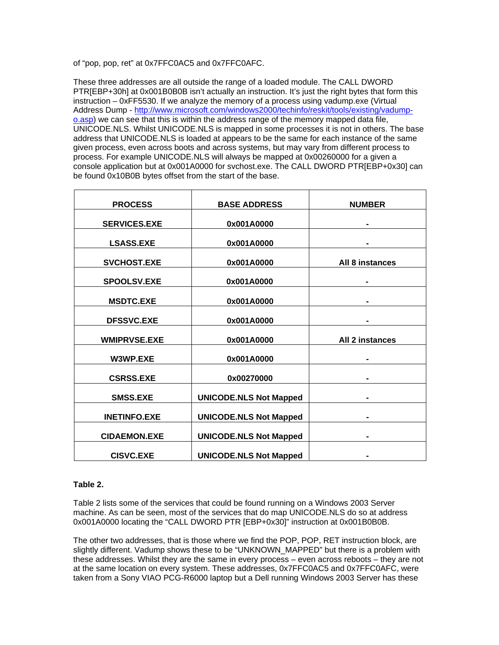of "pop, pop, ret" at 0x7FFC0AC5 and 0x7FFC0AFC.

These three addresses are all outside the range of a loaded module. The CALL DWORD PTR[EBP+30h] at 0x001B0B0B isn't actually an instruction. It's just the right bytes that form this instruction – 0xFF5530. If we analyze the memory of a process using vadump.exe (Virtual Address Dump - [http://www.microsoft.com/windows2000/techinfo/reskit/tools/existing/vadump](http://www.microsoft.com/windows2000/techinfo/reskit/tools/existing/vadump-o.asp)[o.asp\)](http://www.microsoft.com/windows2000/techinfo/reskit/tools/existing/vadump-o.asp) we can see that this is within the address range of the memory mapped data file, UNICODE.NLS. Whilst UNICODE.NLS is mapped in some processes it is not in others. The base address that UNICODE.NLS is loaded at appears to be the same for each instance of the same given process, even across boots and across systems, but may vary from different process to process. For example UNICODE.NLS will always be mapped at 0x00260000 for a given a console application but at 0x001A0000 for svchost.exe. The CALL DWORD PTR[EBP+0x30] can be found 0x10B0B bytes offset from the start of the base.

| <b>PROCESS</b>      | <b>BASE ADDRESS</b>           | <b>NUMBER</b>   |
|---------------------|-------------------------------|-----------------|
| <b>SERVICES.EXE</b> | 0x001A0000                    |                 |
| <b>LSASS.EXE</b>    | 0x001A0000                    |                 |
| <b>SVCHOST.EXE</b>  | 0x001A0000                    | All 8 instances |
| <b>SPOOLSV.EXE</b>  | 0x001A0000                    |                 |
| <b>MSDTC.EXE</b>    | 0x001A0000                    |                 |
| <b>DFSSVC.EXE</b>   | 0x001A0000                    |                 |
| <b>WMIPRVSE.EXE</b> | 0x001A0000                    | All 2 instances |
| W3WP.EXE            | 0x001A0000                    |                 |
| <b>CSRSS.EXE</b>    | 0x00270000                    |                 |
| <b>SMSS.EXE</b>     | <b>UNICODE.NLS Not Mapped</b> |                 |
| <b>INETINFO.EXE</b> | <b>UNICODE.NLS Not Mapped</b> |                 |
| <b>CIDAEMON.EXE</b> | <b>UNICODE.NLS Not Mapped</b> |                 |
| <b>CISVC.EXE</b>    | <b>UNICODE.NLS Not Mapped</b> |                 |

### **Table 2.**

Table 2 lists some of the services that could be found running on a Windows 2003 Server machine. As can be seen, most of the services that do map UNICODE.NLS do so at address 0x001A0000 locating the "CALL DWORD PTR [EBP+0x30]" instruction at 0x001B0B0B.

The other two addresses, that is those where we find the POP, POP, RET instruction block, are slightly different. Vadump shows these to be "UNKNOWN\_MAPPED" but there is a problem with these addresses. Whilst they are the same in every process – even across reboots – they are not at the same location on every system. These addresses, 0x7FFC0AC5 and 0x7FFC0AFC, were taken from a Sony VIAO PCG-R6000 laptop but a Dell running Windows 2003 Server has these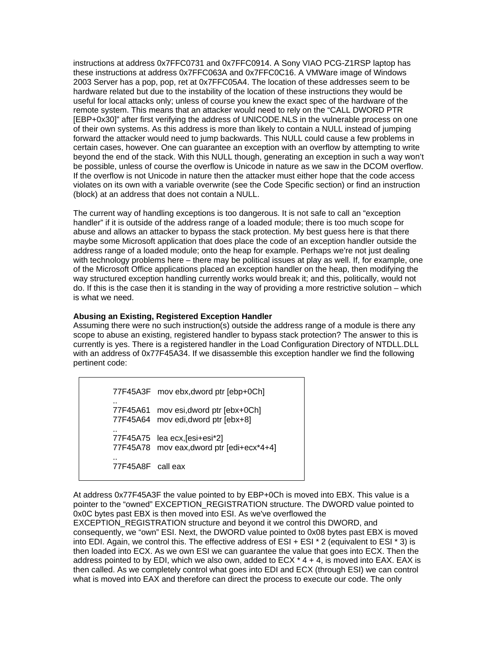instructions at address 0x7FFC0731 and 0x7FFC0914. A Sony VIAO PCG-Z1RSP laptop has these instructions at address 0x7FFC063A and 0x7FFC0C16. A VMWare image of Windows 2003 Server has a pop, pop, ret at 0x7FFC05A4. The location of these addresses seem to be hardware related but due to the instability of the location of these instructions they would be useful for local attacks only; unless of course you knew the exact spec of the hardware of the remote system. This means that an attacker would need to rely on the "CALL DWORD PTR [EBP+0x30]" after first verifying the address of UNICODE.NLS in the vulnerable process on one of their own systems. As this address is more than likely to contain a NULL instead of jumping forward the attacker would need to jump backwards. This NULL could cause a few problems in certain cases, however. One can guarantee an exception with an overflow by attempting to write beyond the end of the stack. With this NULL though, generating an exception in such a way won't be possible, unless of course the overflow is Unicode in nature as we saw in the DCOM overflow. If the overflow is not Unicode in nature then the attacker must either hope that the code access violates on its own with a variable overwrite (see the Code Specific section) or find an instruction (block) at an address that does not contain a NULL.

The current way of handling exceptions is too dangerous. It is not safe to call an "exception handler" if it is outside of the address range of a loaded module; there is too much scope for abuse and allows an attacker to bypass the stack protection. My best guess here is that there maybe some Microsoft application that does place the code of an exception handler outside the address range of a loaded module; onto the heap for example. Perhaps we're not just dealing with technology problems here – there may be political issues at play as well. If, for example, one of the Microsoft Office applications placed an exception handler on the heap, then modifying the way structured exception handling currently works would break it; and this, politically, would not do. If this is the case then it is standing in the way of providing a more restrictive solution – which is what we need.

## **Abusing an Existing, Registered Exception Handler**

Assuming there were no such instruction(s) outside the address range of a module is there any scope to abuse an existing, registered handler to bypass stack protection? The answer to this is currently is yes. There is a registered handler in the Load Configuration Directory of NTDLL.DLL with an address of 0x77F45A34. If we disassemble this exception handler we find the following pertinent code:

77F45A3F mov ebx,dword ptr [ebp+0Ch] .. 77F45A61 mov esi,dword ptr [ebx+0Ch] 77F45A64 mov edi,dword ptr [ebx+8] .. 77F45A75 lea ecx,[esi+esi\*2] 77F45A78 mov eax,dword ptr [edi+ecx\*4+4] .. 77F45A8F call eax

At address 0x77F45A3F the value pointed to by EBP+0Ch is moved into EBX. This value is a pointer to the "owned" EXCEPTION\_REGISTRATION structure. The DWORD value pointed to 0x0C bytes past EBX is then moved into ESI. As we've overflowed the EXCEPTION\_REGISTRATION structure and beyond it we control this DWORD, and consequently, we "own" ESI. Next, the DWORD value pointed to 0x08 bytes past EBX is moved into EDI. Again, we control this. The effective address of ESI + ESI \* 2 (equivalent to ESI \* 3) is then loaded into ECX. As we own ESI we can guarantee the value that goes into ECX. Then the address pointed to by EDI, which we also own, added to  $E$ CX  $*$  4 + 4, is moved into EAX. EAX is then called. As we completely control what goes into EDI and ECX (through ESI) we can control what is moved into EAX and therefore can direct the process to execute our code. The only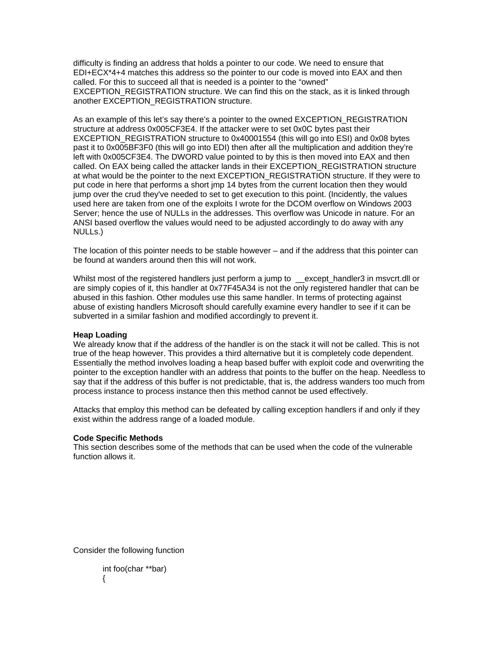difficulty is finding an address that holds a pointer to our code. We need to ensure that EDI+ECX\*4+4 matches this address so the pointer to our code is moved into EAX and then called. For this to succeed all that is needed is a pointer to the "owned" EXCEPTION\_REGISTRATION structure. We can find this on the stack, as it is linked through another EXCEPTION\_REGISTRATION structure.

As an example of this let's say there's a pointer to the owned EXCEPTION\_REGISTRATION structure at address 0x005CF3E4. If the attacker were to set 0x0C bytes past their EXCEPTION\_REGISTRATION structure to 0x40001554 (this will go into ESI) and 0x08 bytes past it to 0x005BF3F0 (this will go into EDI) then after all the multiplication and addition they're left with 0x005CF3E4. The DWORD value pointed to by this is then moved into EAX and then called. On EAX being called the attacker lands in their EXCEPTION\_REGISTRATION structure at what would be the pointer to the next EXCEPTION\_REGISTRATION structure. If they were to put code in here that performs a short jmp 14 bytes from the current location then they would jump over the crud they've needed to set to get execution to this point. (Incidently, the values used here are taken from one of the exploits I wrote for the DCOM overflow on Windows 2003 Server; hence the use of NULLs in the addresses. This overflow was Unicode in nature. For an ANSI based overflow the values would need to be adjusted accordingly to do away with any NULLs.)

The location of this pointer needs to be stable however – and if the address that this pointer can be found at wanders around then this will not work.

Whilst most of the registered handlers just perform a jump to except handler3 in msvcrt.dll or are simply copies of it, this handler at 0x77F45A34 is not the only registered handler that can be abused in this fashion. Other modules use this same handler. In terms of protecting against abuse of existing handlers Microsoft should carefully examine every handler to see if it can be subverted in a similar fashion and modified accordingly to prevent it.

#### **Heap Loading**

We already know that if the address of the handler is on the stack it will not be called. This is not true of the heap however. This provides a third alternative but it is completely code dependent. Essentially the method involves loading a heap based buffer with exploit code and overwriting the pointer to the exception handler with an address that points to the buffer on the heap. Needless to say that if the address of this buffer is not predictable, that is, the address wanders too much from process instance to process instance then this method cannot be used effectively.

Attacks that employ this method can be defeated by calling exception handlers if and only if they exist within the address range of a loaded module.

#### **Code Specific Methods**

This section describes some of the methods that can be used when the code of the vulnerable function allows it.

Consider the following function

```
int foo(char **bar) 
{
```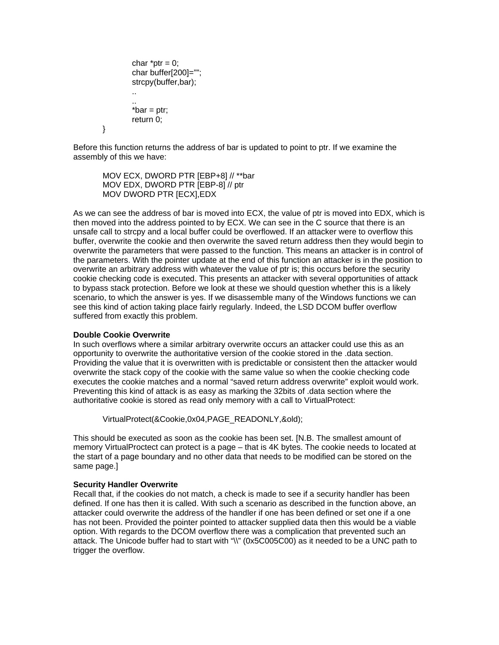```
char *ptr = 0; char buffer[200]=""; 
 strcpy(buffer,bar); 
.. 
.. 
*bar = ptr; return 0;
```
}

Before this function returns the address of bar is updated to point to ptr. If we examine the assembly of this we have:

MOV ECX, DWORD PTR [EBP+8] // \*\*bar MOV EDX, DWORD PTR [EBP-8] // ptr MOV DWORD PTR [ECX],EDX

As we can see the address of bar is moved into ECX, the value of ptr is moved into EDX, which is then moved into the address pointed to by ECX. We can see in the C source that there is an unsafe call to strcpy and a local buffer could be overflowed. If an attacker were to overflow this buffer, overwrite the cookie and then overwrite the saved return address then they would begin to overwrite the parameters that were passed to the function. This means an attacker is in control of the parameters. With the pointer update at the end of this function an attacker is in the position to overwrite an arbitrary address with whatever the value of ptr is; this occurs before the security cookie checking code is executed. This presents an attacker with several opportunities of attack to bypass stack protection. Before we look at these we should question whether this is a likely scenario, to which the answer is yes. If we disassemble many of the Windows functions we can see this kind of action taking place fairly regularly. Indeed, the LSD DCOM buffer overflow suffered from exactly this problem.

#### **Double Cookie Overwrite**

In such overflows where a similar arbitrary overwrite occurs an attacker could use this as an opportunity to overwrite the authoritative version of the cookie stored in the .data section. Providing the value that it is overwritten with is predictable or consistent then the attacker would overwrite the stack copy of the cookie with the same value so when the cookie checking code executes the cookie matches and a normal "saved return address overwrite" exploit would work. Preventing this kind of attack is as easy as marking the 32bits of .data section where the authoritative cookie is stored as read only memory with a call to VirtualProtect:

VirtualProtect(&Cookie,0x04,PAGE\_READONLY,&old);

This should be executed as soon as the cookie has been set. [N.B. The smallest amount of memory VirtualProctect can protect is a page – that is 4K bytes. The cookie needs to located at the start of a page boundary and no other data that needs to be modified can be stored on the same page.]

#### **Security Handler Overwrite**

Recall that, if the cookies do not match, a check is made to see if a security handler has been defined. If one has then it is called. With such a scenario as described in the function above, an attacker could overwrite the address of the handler if one has been defined or set one if a one has not been. Provided the pointer pointed to attacker supplied data then this would be a viable option. With regards to the DCOM overflow there was a complication that prevented such an attack. The Unicode buffer had to start with "\\" (0x5C005C00) as it needed to be a UNC path to trigger the overflow.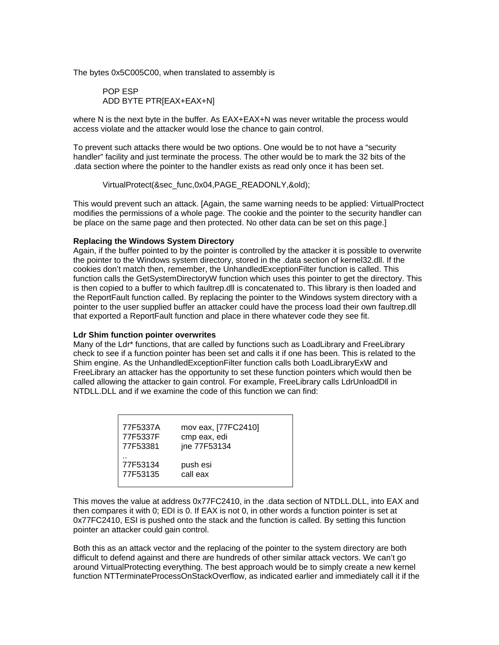The bytes 0x5C005C00, when translated to assembly is

 POP ESP ADD BYTE PTR[EAX+EAX+N]

where N is the next byte in the buffer. As EAX+EAX+N was never writable the process would access violate and the attacker would lose the chance to gain control.

To prevent such attacks there would be two options. One would be to not have a "security handler" facility and just terminate the process. The other would be to mark the 32 bits of the .data section where the pointer to the handler exists as read only once it has been set.

VirtualProtect(&sec\_func,0x04,PAGE\_READONLY,&old);

This would prevent such an attack. [Again, the same warning needs to be applied: VirtualProctect modifies the permissions of a whole page. The cookie and the pointer to the security handler can be place on the same page and then protected. No other data can be set on this page.]

#### **Replacing the Windows System Directory**

Again, if the buffer pointed to by the pointer is controlled by the attacker it is possible to overwrite the pointer to the Windows system directory, stored in the .data section of kernel32.dll. If the cookies don't match then, remember, the UnhandledExceptionFilter function is called. This function calls the GetSystemDirectoryW function which uses this pointer to get the directory. This is then copied to a buffer to which faultrep.dll is concatenated to. This library is then loaded and the ReportFault function called. By replacing the pointer to the Windows system directory with a pointer to the user supplied buffer an attacker could have the process load their own faultrep.dll that exported a ReportFault function and place in there whatever code they see fit.

#### **Ldr Shim function pointer overwrites**

Many of the Ldr\* functions, that are called by functions such as LoadLibrary and FreeLibrary check to see if a function pointer has been set and calls it if one has been. This is related to the Shim engine. As the UnhandledExceptionFilter function calls both LoadLibraryExW and FreeLibrary an attacker has the opportunity to set these function pointers which would then be called allowing the attacker to gain control. For example, FreeLibrary calls LdrUnloadDll in NTDLL.DLL and if we examine the code of this function we can find:

| 77F5337A | mov eax, [77FC2410] |
|----------|---------------------|
| 77F5337F | cmp eax, edi        |
| 77F53381 | jne 77F53134        |
| 77F53134 | push esi            |
| 77F53135 | call eax            |

This moves the value at address 0x77FC2410, in the .data section of NTDLL.DLL, into EAX and then compares it with 0; EDI is 0. If EAX is not 0, in other words a function pointer is set at 0x77FC2410, ESI is pushed onto the stack and the function is called. By setting this function pointer an attacker could gain control.

Both this as an attack vector and the replacing of the pointer to the system directory are both difficult to defend against and there are hundreds of other similar attack vectors. We can't go around VirtualProtecting everything. The best approach would be to simply create a new kernel function NTTerminateProcessOnStackOverflow, as indicated earlier and immediately call it if the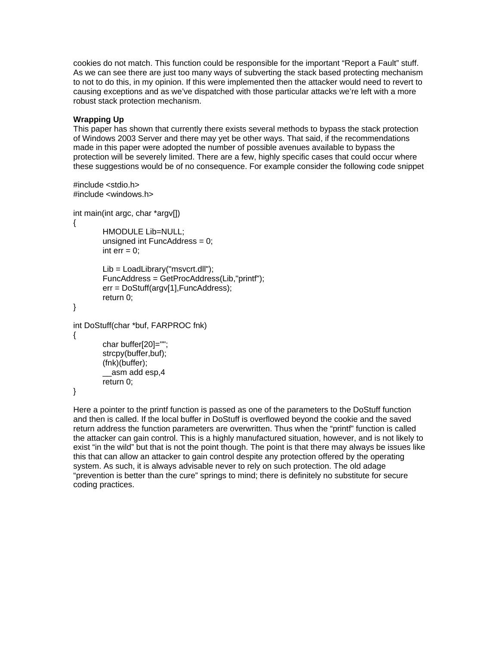cookies do not match. This function could be responsible for the important "Report a Fault" stuff. As we can see there are just too many ways of subverting the stack based protecting mechanism to not to do this, in my opinion. If this were implemented then the attacker would need to revert to causing exceptions and as we've dispatched with those particular attacks we're left with a more robust stack protection mechanism.

# **Wrapping Up**

This paper has shown that currently there exists several methods to bypass the stack protection of Windows 2003 Server and there may yet be other ways. That said, if the recommendations made in this paper were adopted the number of possible avenues available to bypass the protection will be severely limited. There are a few, highly specific cases that could occur where these suggestions would be of no consequence. For example consider the following code snippet

```
#include <stdio.h> 
#include <windows.h> 
int main(int argc, char *argv[]) 
{ 
        HMODULE Lib=NULL; 
        unsigned int FuncAddress = 0; 
        int err = 0;
        Lib = LoadLibrary("msvcrt.dll"); 
        FuncAddress = GetProcAddress(Lib,"printf"); 
        err = DoStuff(argv[1],FuncAddress); 
        return 0; 
} 
int DoStuff(char *buf, FARPROC fnk) 
{ 
         char buffer[20]=""; 
         strcpy(buffer,buf); 
         (fnk)(buffer); 
         __asm add esp,4 
         return 0; 
}
```
Here a pointer to the printf function is passed as one of the parameters to the DoStuff function and then is called. If the local buffer in DoStuff is overflowed beyond the cookie and the saved return address the function parameters are overwritten. Thus when the "printf" function is called the attacker can gain control. This is a highly manufactured situation, however, and is not likely to exist "in the wild" but that is not the point though. The point is that there may always be issues like this that can allow an attacker to gain control despite any protection offered by the operating system. As such, it is always advisable never to rely on such protection. The old adage "prevention is better than the cure" springs to mind; there is definitely no substitute for secure coding practices.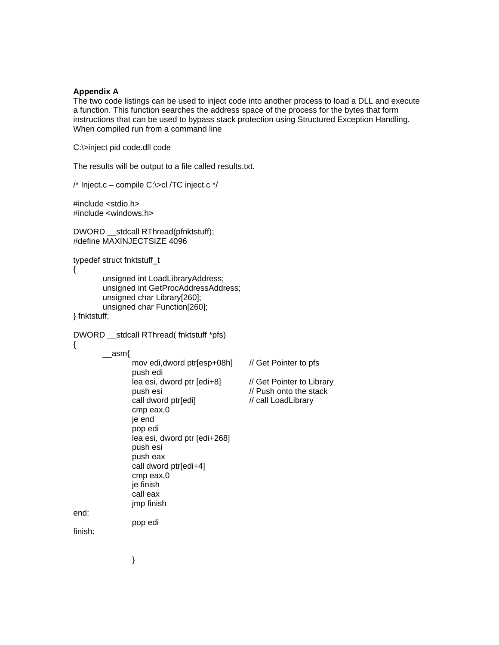#### **Appendix A**

The two code listings can be used to inject code into another process to load a DLL and execute a function. This function searches the address space of the process for the bytes that form instructions that can be used to bypass stack protection using Structured Exception Handling. When compiled run from a command line

C:\>inject pid code.dll code

The results will be output to a file called results.txt.

/\* Inject.c – compile C:\>cl /TC inject.c \*/

#include <stdio.h> #include <windows.h>

DWORD \_\_stdcall RThread(pfnktstuff); #define MAXINJECTSIZE 4096

typedef struct fnktstuff\_t

{

 unsigned int LoadLibraryAddress; unsigned int GetProcAddressAddress; unsigned char Library[260]; unsigned char Function[260];

} fnktstuff;

DWORD \_\_stdcall RThread( fnktstuff \*pfs)

{

 $\equiv$ asm{

 mov edi,dword ptr[esp+08h] // Get Pointer to pfs push edi lea esi, dword ptr [edi+8] // Get Pointer to Library<br>push esi // Push onto the stack call dword ptr[edi] // call LoadLibrary cmp eax,0 je end pop edi lea esi, dword ptr [edi+268] push esi push eax call dword ptr[edi+4] cmp eax,0 je finish call eax jmp finish

 $\frac{1}{2}$  Push onto the stack

end:

finish:

}

pop edi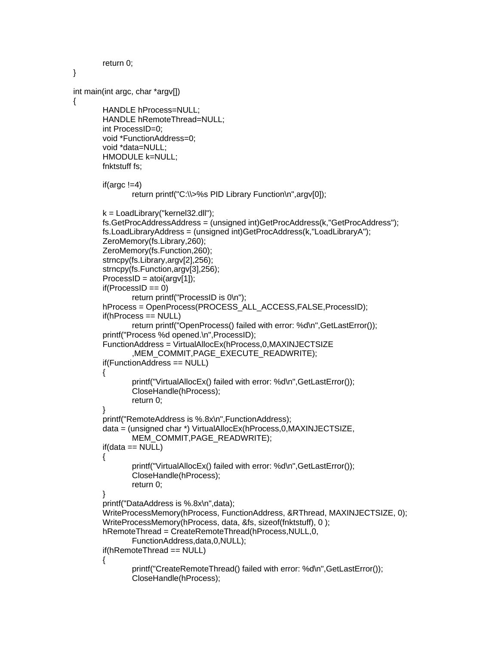```
 return 0; 
} 
int main(int argc, char *argv[]) 
{ 
         HANDLE hProcess=NULL; 
        HANDLE hRemoteThread=NULL; 
         int ProcessID=0; 
        void *FunctionAddress=0; 
        void *data=NULL; 
         HMODULE k=NULL; 
        fnktstuff fs; 
        if(argc !=4)
                 return printf("C:\\>%s PID Library Function\n",argv[0]); 
        k = LoadLibrary("kernel32.dll"); 
        fs.GetProcAddressAddress = (unsigned int)GetProcAddress(k,"GetProcAddress"); 
        fs.LoadLibraryAddress = (unsigned int)GetProcAddress(k,"LoadLibraryA"); 
        ZeroMemory(fs.Library,260); 
        ZeroMemory(fs.Function,260); 
         strncpy(fs.Library,argv[2],256); 
         strncpy(fs.Function,argv[3],256); 
        ProcessID = atoi(argv[1]);if(ProcessID == 0) return printf("ProcessID is 0\n"); 
       hProcess = OpenProcess(PROCESS_ALL_ACCESS,FALSE,ProcessID);
         if(hProcess == NULL) 
                 return printf("OpenProcess() failed with error: %d\n",GetLastError()); 
        printf("Process %d opened.\n",ProcessID); 
        FunctionAddress = VirtualAllocEx(hProcess,0,MAXINJECTSIZE 
                ,MEM_COMMIT,PAGE_EXECUTE_READWRITE); 
        if(FunctionAddress == NULL)
         { 
                 printf("VirtualAllocEx() failed with error: %d\n",GetLastError()); 
                 CloseHandle(hProcess); 
                 return 0; 
        } 
        printf("RemoteAddress is %.8x\n",FunctionAddress); 
        data = (unsigned char *) VirtualAllocEx(hProcess,0,MAXINJECTSIZE, 
                MEM_COMMIT,PAGE_READWRITE); 
       if(data == NULL) { 
                 printf("VirtualAllocEx() failed with error: %d\n",GetLastError()); 
                 CloseHandle(hProcess); 
                 return 0; 
 } 
        printf("DataAddress is %.8x\n",data); 
         WriteProcessMemory(hProcess, FunctionAddress, &RThread, MAXINJECTSIZE, 0); 
        WriteProcessMemory(hProcess, data, &fs, sizeof(fnktstuff), 0 ); 
        hRemoteThread = CreateRemoteThread(hProcess,NULL,0, 
                FunctionAddress,data,0,NULL); 
        if(hRemoteThread == NULL) 
        { 
                 printf("CreateRemoteThread() failed with error: %d\n",GetLastError()); 
                 CloseHandle(hProcess);
```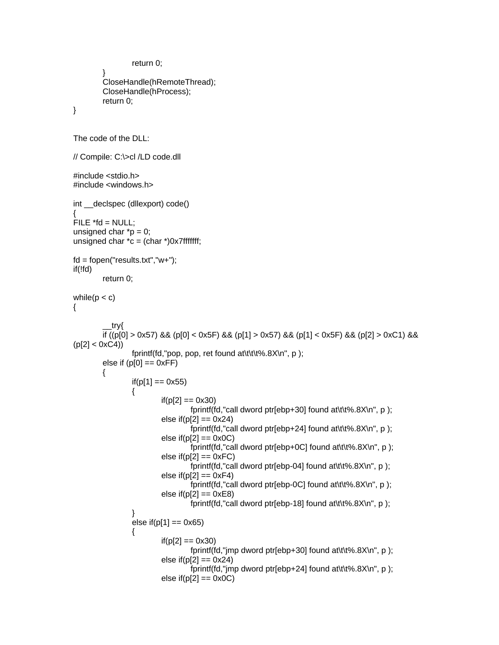```
 return 0; 
 } 
         CloseHandle(hRemoteThread); 
         CloseHandle(hProcess); 
          return 0; 
} 
The code of the DLL: 
// Compile: C:\>cl /LD code.dll 
#include <stdio.h> 
#include <windows.h> 
int declspec (dllexport) code()
{ 
FILE *fd = NULL;unsigned char *p = 0;
unsigned char \text{*c} = \text{(char } \text{*)}0x7\text{ff}ffffff;
fd = fopen("results.txt", "w+");if(!fd) 
         return 0; 
while(p < c)
{ 
            __try{ 
         if ((p[0] > 0x57) && (p[0] < 0x5F) && (p[1] > 0x57) && (p[1] < 0x5F) && (p[2] > 0xC1) && 
(p[2] < 0 \times C4) fprintf(fd,"pop, pop, ret found at\t\t\t%.8X\n", p ); 
        else if (p[0] == 0 \times FF)\left\{\begin{array}{ccc} \end{array}\right\}if(p[1] == 0x55)\{if(p[2] == 0x30) fprintf(fd,"call dword ptr[ebp+30] found at\t\t%.8X\n", p ); 
                           else if(p[2] == 0x24)
                                     fprintf(fd,"call dword ptr[ebp+24] found at\t\t%.8X\n", p ); 
                           else if(p[2] == 0x0C)
                                     fprintf(fd,"call dword ptr[ebp+0C] found at\t\t%.8X\n", p ); 
                           else if(p[2] == 0xFC)
                                    fprintf(fd,"call dword ptr[ebp-04] found at\t\t%.8X\n", p ); 
                           else if(p[2] == 0xF4)
                                    fprintf(fd,"call dword ptr[ebp-0C] found at\t\t%.8X\n", p ); 
                           else if(p[2] == 0xE8)
                                    fprintf(fd,"call dword ptr[ebp-18] found at\t\t%.8X\n", p ); 
 } 
                 else if(p[1] == 0x65)
\{if(p[2] == 0x30) fprintf(fd,"jmp dword ptr[ebp+30] found at\t\t%.8X\n", p ); 
                           else if(p[2] == 0x24)
                                    fprintf(fd,"jmp dword ptr[ebp+24] found at\t\t%.8X\n", p ); 
                           else if(p[2] == 0x0C)
```